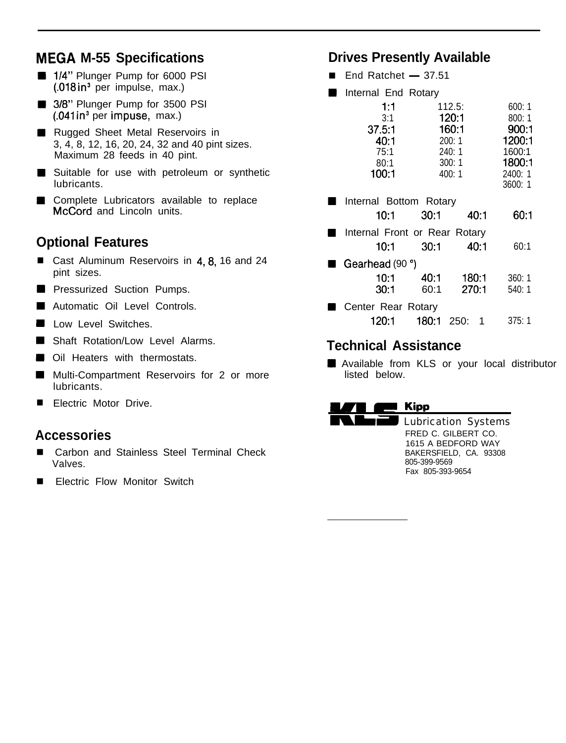## **MEGA M-55 Specifications Drives Presently Available**

- 1/4" Plunger Pump for 6000 PSI (.018 in3 per impulse, max.)
- 3/8" Plunger Pump for 3500 PSI (.041 in3 per impuse, max.)
- Rugged Sheet Metal Reservoirs in 3, 4, 8, 12, 16, 20, 24, 32 and 40 pint sizes. Maximum 28 feeds in 40 pint.
- Suitable for use with petroleum or synthetic lubricants.
- Complete Lubricators available to replace McCord and Lincoln units.

### **Optional Features**

- Cast Aluminum Reservoirs in 4, 8, 16 and 24 pint sizes.
- **Pressurized Suction Pumps.**
- Automatic Oil Level Controls.
- **Low Level Switches.**
- **Shaft Rotation/Low Level Alarms.**
- **Oil Heaters with thermostats.**
- **Multi-Compartment Reservoirs for 2 or more** lubricants.
- **Electric Motor Drive.**

- Carbon and Stainless Steel Terminal Check Valves.
- Electric Flow Monitor Switch

- **Drives Presently Av**<br>■ End Ratchet 37.51
- **Internal End Rotary**

| 1:1<br>3:1                    |       | 112.5:<br>120:1 |  | 600:1<br>800:1 |
|-------------------------------|-------|-----------------|--|----------------|
| 37.5:1                        |       | 160:1           |  | 900:1          |
| 40:1                          |       | 200:1           |  | 1200:1         |
| 75:1                          |       | 240: 1          |  | 1600:1         |
| 80:1                          |       | 300:1           |  | 1800:1         |
| 100:1                         |       | 400:1           |  | 2400: 1        |
|                               |       |                 |  | 3600: 1        |
| Internal Bottom Rotary        |       |                 |  |                |
| 10:1                          | 30:1  | 40.1            |  | 60:1           |
| Internal Front or Rear Rotary |       |                 |  |                |
| 10 1                          | 30:1  | 40:1            |  | 60:1           |
| Gearhead (90 °)               |       |                 |  |                |
| 10:1                          | 40:1  | 180:1           |  | 360:1          |
| 30:1                          | 60:1  | 270:1           |  | 540: 1         |
| Center Rear Rotary            |       |                 |  |                |
| 120:1                         | 180:1 | 250:            |  | 375: 1         |

### **Technical Assistance**

**H** Available from KLS or your local distributor listed below.

## **MARK 2008**<br>**MARK 6000 Kipp**

**Kipp**<br>Lubrication Systems **Accessories** FRED C. GILBERT CO. 1615 A BEDFORD WAY BAKERSFIELD, CA. 93308 805-399-9569 Fax 805-393-9654